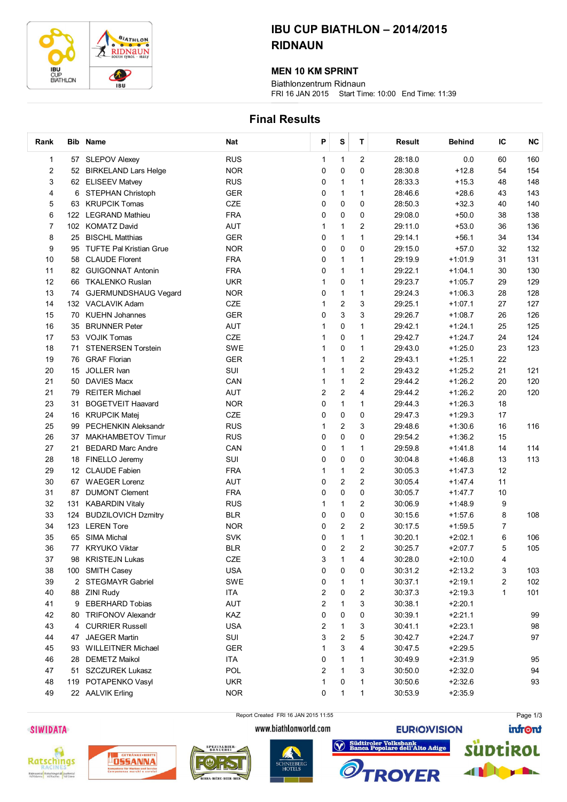

# IBU CUP BIATHLON – 2014/2015 RIDNAUN

### MEN 10 KM SPRINT

FRI 16 JAN 2015 Start Time: 10:00 End Time: 11:39 Biathlonzentrum Ridnaun

## Final Results

| Rank |     | Bib Name                       | <b>Nat</b> | P | S              | $\mathbf T$             | Result  | <b>Behind</b> | IС | <b>NC</b> |
|------|-----|--------------------------------|------------|---|----------------|-------------------------|---------|---------------|----|-----------|
| 1    |     | 57 SLEPOV Alexey               | <b>RUS</b> | 1 | $\mathbf{1}$   | $\overline{2}$          | 28:18.0 | 0.0           | 60 | 160       |
| 2    | 52  | <b>BIRKELAND Lars Helge</b>    | <b>NOR</b> | 0 | 0              | 0                       | 28:30.8 | $+12.8$       | 54 | 154       |
| 3    |     | 62 ELISEEV Matvey              | <b>RUS</b> | 0 | 1              | 1                       | 28:33.3 | $+15.3$       | 48 | 148       |
| 4    | 6   | <b>STEPHAN Christoph</b>       | <b>GER</b> | 0 | $\mathbf{1}$   | $\mathbf{1}$            | 28:46.6 | $+28.6$       | 43 | 143       |
| 5    | 63  | <b>KRUPCIK Tomas</b>           | CZE        | 0 | $\pmb{0}$      | 0                       | 28:50.3 | $+32.3$       | 40 | 140       |
| 6    |     | 122 LEGRAND Mathieu            | <b>FRA</b> | 0 | $\pmb{0}$      | 0                       | 29:08.0 | $+50.0$       | 38 | 138       |
| 7    | 102 | <b>KOMATZ David</b>            | AUT        | 1 | 1              | $\overline{c}$          | 29:11.0 | $+53.0$       | 36 | 136       |
| 8    | 25  | <b>BISCHL Matthias</b>         | <b>GER</b> | 0 | $\mathbf{1}$   | $\mathbf{1}$            | 29:14.1 | $+56.1$       | 34 | 134       |
| 9    | 95  | <b>TUFTE Pal Kristian Grue</b> | <b>NOR</b> | 0 | 0              | 0                       | 29:15.0 | $+57.0$       | 32 | 132       |
| 10   | 58  | <b>CLAUDE Florent</b>          | <b>FRA</b> | 0 | $\mathbf{1}$   | 1                       | 29:19.9 | $+1:01.9$     | 31 | 131       |
| 11   | 82  | <b>GUIGONNAT Antonin</b>       | <b>FRA</b> | 0 | $\mathbf{1}$   | 1                       | 29:22.1 | $+1:04.1$     | 30 | 130       |
| 12   | 66  | <b>TKALENKO Ruslan</b>         | <b>UKR</b> | 1 | 0              | 1                       | 29:23.7 | $+1:05.7$     | 29 | 129       |
| 13   |     | 74 GJERMUNDSHAUG Vegard        | <b>NOR</b> | 0 | 1              | 1                       | 29:24.3 | $+1:06.3$     | 28 | 128       |
| 14   |     | 132 VACLAVIK Adam              | <b>CZE</b> | 1 | 2              | 3                       | 29:25.1 | $+1:07.1$     | 27 | 127       |
| 15   | 70  | <b>KUEHN Johannes</b>          | <b>GER</b> | 0 | 3              | 3                       | 29:26.7 | $+1:08.7$     | 26 | 126       |
| 16   | 35  | <b>BRUNNER Peter</b>           | AUT        | 1 | 0              | 1                       | 29:42.1 | $+1:24.1$     | 25 | 125       |
| 17   |     | 53 VOJIK Tomas                 | CZE        | 1 | 0              | $\mathbf{1}$            | 29:42.7 | $+1:24.7$     | 24 | 124       |
| 18   | 71  | <b>STENERSEN Torstein</b>      | SWE        | 1 | 0              | $\mathbf{1}$            | 29:43.0 | $+1:25.0$     | 23 | 123       |
| 19   | 76  | <b>GRAF Florian</b>            | <b>GER</b> | 1 | 1              | $\overline{c}$          | 29:43.1 | $+1:25.1$     | 22 |           |
| 20   | 15  | JOLLER Ivan                    | SUI        | 1 | 1              | $\overline{\mathbf{c}}$ | 29:43.2 | $+1:25.2$     | 21 | 121       |
| 21   | 50  | <b>DAVIES Macx</b>             | CAN        | 1 | 1              | $\overline{c}$          | 29:44.2 | $+1:26.2$     | 20 | 120       |
| 21   | 79  | <b>REITER Michael</b>          | <b>AUT</b> | 2 | $\overline{c}$ | 4                       | 29:44.2 | $+1:26.2$     | 20 | 120       |
| 23   | 31  | <b>BOGETVEIT Haavard</b>       | <b>NOR</b> | 0 | 1              | 1                       | 29:44.3 | $+1:26.3$     | 18 |           |
| 24   |     | 16 KRUPCIK Matej               | CZE        | 0 | $\pmb{0}$      | 0                       | 29:47.3 | $+1:29.3$     | 17 |           |
| 25   | 99  | <b>PECHENKIN Aleksandr</b>     | <b>RUS</b> | 1 | 2              | 3                       | 29:48.6 | $+1:30.6$     | 16 | 116       |
| 26   |     | 37 MAKHAMBETOV Timur           | <b>RUS</b> | 0 | 0              | 0                       | 29:54.2 | $+1:36.2$     | 15 |           |
| 27   | 21  | <b>BEDARD Marc Andre</b>       | CAN        | 0 | 1              | 1                       | 29:59.8 | $+1:41.8$     | 14 | 114       |
| 28   |     | 18 FINELLO Jeremy              | SUI        | 0 | 0              | 0                       | 30:04.8 | $+1:46.8$     | 13 | 113       |
| 29   |     | 12 CLAUDE Fabien               | <b>FRA</b> | 1 | 1              | 2                       | 30:05.3 | $+1:47.3$     | 12 |           |
| 30   |     | 67 WAEGER Lorenz               | <b>AUT</b> | 0 | 2              | $\overline{c}$          | 30:05.4 | $+1:47.4$     | 11 |           |
| 31   | 87  | <b>DUMONT Clement</b>          | <b>FRA</b> | 0 | 0              | 0                       | 30:05.7 | $+1:47.7$     | 10 |           |
| 32   | 131 | <b>KABARDIN Vitaly</b>         | <b>RUS</b> | 1 | 1              | $\overline{c}$          | 30:06.9 | $+1:48.9$     | 9  |           |
| 33   | 124 | <b>BUDZILOVICH Dzmitry</b>     | <b>BLR</b> | 0 | 0              | 0                       | 30:15.6 | $+1:57.6$     | 8  | 108       |
| 34   | 123 | <b>LEREN Tore</b>              | <b>NOR</b> | 0 | 2              | 2                       | 30:17.5 | $+1:59.5$     | 7  |           |
| 35   | 65  | <b>SIMA Michal</b>             | <b>SVK</b> | 0 | 1              | $\mathbf{1}$            | 30:20.1 | $+2:02.1$     | 6  | 106       |
| 36   |     | 77 KRYUKO Viktar               | <b>BLR</b> | 0 | $\overline{c}$ | $\overline{2}$          | 30:25.7 | $+2:07.7$     | 5  | 105       |
| 37   | 98  | <b>KRISTEJN Lukas</b>          | CZE        | 3 | 1              | 4                       | 30:28.0 | $+2:10.0$     | 4  |           |
| 38   |     | 100 SMITH Casey                | <b>USA</b> | 0 | 0              | 0                       | 30:31.2 | $+2:13.2$     | 3  | 103       |
| 39   |     | 2 STEGMAYR Gabriel             | SWE        | 0 | 1              | 1                       | 30:37.1 | $+2:19.1$     | 2  | 102       |
| 40   |     | 88 ZINI Rudy                   | <b>ITA</b> | 2 | 0              | 2                       | 30:37.3 | $+2:19.3$     | 1  | 101       |
| 41   |     | 9 EBERHARD Tobias              | AUT        | 2 | 1              | 3                       | 30:38.1 | $+2:20.1$     |    |           |
| 42   |     | 80 TRIFONOV Alexandr           | <b>KAZ</b> | 0 | 0              | 0                       | 30:39.1 | $+2:21.1$     |    | 99        |
| 43   |     | 4 CURRIER Russell              | <b>USA</b> | 2 | 1              | 3                       | 30:41.1 | $+2:23.1$     |    | 98        |
| 44   |     | 47 JAEGER Martin               | SUI        | 3 | 2              | 5                       | 30:42.7 | $+2:24.7$     |    | 97        |
| 45   |     | 93 WILLEITNER Michael          | <b>GER</b> | 1 | 3              | 4                       | 30:47.5 | $+2:29.5$     |    |           |
| 46   |     | 28 DEMETZ Maikol               | <b>ITA</b> | 0 | 1              | 1                       | 30:49.9 | $+2:31.9$     |    | 95        |
| 47   |     | 51 SZCZUREK Lukasz             | POL        | 2 | 1              | 3                       | 30:50.0 | $+2:32.0$     |    | 94        |
| 48   |     | 119 POTAPENKO Vasyl            | <b>UKR</b> | 1 | 0              | 1                       | 30:50.6 | $+2:32.6$     |    | 93        |
| 49   |     | 22 AALVIK Erling               | <b>NOR</b> | 0 | 1              | 1                       | 30:53.9 | $+2:35.9$     |    |           |

#### **SIWIDATA**









Report Created FRI 16 JAN 2015 11:55

www.biathlonworld.com





Page 1/3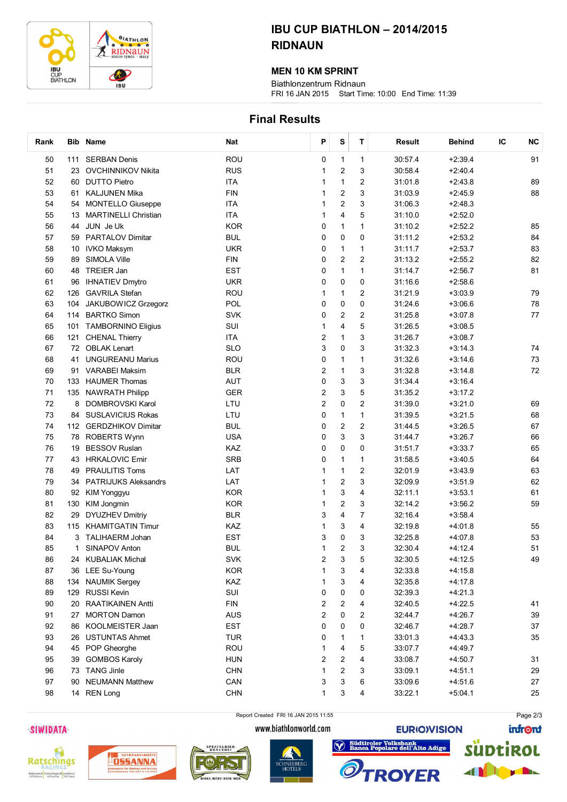

# IBU CUP BIATHLON – 2014/2015 RIDNAUN

#### MEN 10 KM SPRINT

FRI 16 JAN 2015 Start Time: 10:00 End Time: 11:39 Biathlonzentrum Ridnaun

### Final Results

| Rank |              | Bib Name                    | Nat        | Ρ | S              | Т              | Result  | <b>Behind</b> | IС | <b>NC</b> |
|------|--------------|-----------------------------|------------|---|----------------|----------------|---------|---------------|----|-----------|
| 50   | 111          | <b>SERBAN Denis</b>         | ROU        | 0 | 1              | 1              | 30:57.4 | $+2:39.4$     |    | 91        |
| 51   | 23           | OVCHINNIKOV Nikita          | <b>RUS</b> | 1 | $\overline{2}$ | 3              | 30:58.4 | $+2:40.4$     |    |           |
| 52   | 60           | <b>DUTTO Pietro</b>         | <b>ITA</b> | 1 | $\mathbf{1}$   | $\overline{c}$ | 31:01.8 | $+2:43.8$     |    | 89        |
| 53   | 61           | <b>KALJUNEN Mika</b>        | <b>FIN</b> | 1 | $\overline{c}$ | 3              | 31:03.9 | $+2:45.9$     |    | 88        |
| 54   | 54           | <b>MONTELLO Giuseppe</b>    | <b>ITA</b> | 1 | 2              | 3              | 31:06.3 | $+2:48.3$     |    |           |
| 55   | 13           | <b>MARTINELLI Christian</b> | <b>ITA</b> | 1 | 4              | 5              | 31:10.0 | $+2:52.0$     |    |           |
| 56   | 44           | JUN JeUk                    | <b>KOR</b> | 0 | $\mathbf{1}$   | $\mathbf{1}$   | 31:10.2 | $+2:52.2$     |    | 85        |
| 57   | 59           | <b>PARTALOV Dimitar</b>     | <b>BUL</b> | 0 | $\mathbf 0$    | 0              | 31:11.2 | $+2:53.2$     |    | 84        |
| 58   | 10           | <b>IVKO Maksym</b>          | <b>UKR</b> | 0 | 1              | 1              | 31:11.7 | $+2:53.7$     |    | 83        |
| 59   | 89           | SIMOLA Ville                | <b>FIN</b> | 0 | 2              | 2              | 31:13.2 | $+2:55.2$     |    | 82        |
| 60   | 48           | <b>TREIER Jan</b>           | <b>EST</b> | 0 | $\mathbf{1}$   | 1              | 31:14.7 | $+2:56.7$     |    | 81        |
| 61   | 96           | <b>IHNATIEV Dmytro</b>      | <b>UKR</b> | 0 | 0              | 0              | 31:16.6 | $+2:58.6$     |    |           |
| 62   | 126          | <b>GAVRILA Stefan</b>       | <b>ROU</b> | 1 | 1              | $\overline{c}$ | 31:21.9 | $+3:03.9$     |    | 79        |
| 63   | 104          | JAKUBOWICZ Grzegorz         | POL        | 0 | $\mathbf 0$    | 0              | 31:24.6 | $+3:06.6$     |    | 78        |
| 64   | 114          | <b>BARTKO Simon</b>         | <b>SVK</b> | 0 | 2              | 2              | 31:25.8 | $+3:07.8$     |    | 77        |
| 65   | 101          | <b>TAMBORNINO Eligius</b>   | SUI        | 1 | 4              | 5              | 31:26.5 | $+3:08.5$     |    |           |
| 66   | 121          | <b>CHENAL Thierry</b>       | <b>ITA</b> | 2 | 1              | 3              | 31:26.7 | $+3:08.7$     |    |           |
| 67   |              | 72 OBLAK Lenart             | <b>SLO</b> | 3 | $\pmb{0}$      | 3              | 31:32.3 | $+3:14.3$     |    | 74        |
| 68   | 41           | <b>UNGUREANU Marius</b>     | ROU        | 0 | $\mathbf{1}$   | 1              | 31:32.6 | $+3:14.6$     |    | 73        |
| 69   | 91           | <b>VARABEI Maksim</b>       | <b>BLR</b> | 2 | $\mathbf{1}$   | 3              | 31:32.8 | $+3:14.8$     |    | 72        |
| 70   | 133          | <b>HAUMER Thomas</b>        | AUT        | 0 | 3              | 3              | 31:34.4 | $+3:16.4$     |    |           |
| 71   | 135          | <b>NAWRATH Philipp</b>      | <b>GER</b> | 2 | 3              | 5              | 31:35.2 | $+3:17.2$     |    |           |
| 72   | 8            | DOMBROVSKI Karol            | LTU        | 2 | 0              | 2              | 31:39.0 | $+3:21.0$     |    | 69        |
| 73   | 84           | <b>SUSLAVICIUS Rokas</b>    | LTU        | 0 | 1              | 1              | 31:39.5 | $+3:21.5$     |    | 68        |
| 74   |              | 112 GERDZHIKOV Dimitar      | <b>BUL</b> | 0 | 2              | $\overline{c}$ | 31:44.5 | $+3:26.5$     |    | 67        |
| 75   |              | 78 ROBERTS Wynn             | <b>USA</b> | 0 | 3              | 3              | 31:44.7 | $+3:26.7$     |    | 66        |
| 76   | 19           | <b>BESSOV Ruslan</b>        | KAZ        | 0 | $\mathbf 0$    | 0              | 31:51.7 | $+3:33.7$     |    | 65        |
| 77   | 43           | <b>HRKALOVIC Emir</b>       | <b>SRB</b> | 0 | 1              | 1              | 31:58.5 | $+3:40.5$     |    | 64        |
| 78   | 49           | <b>PRAULITIS Toms</b>       | LAT        | 1 | 1              | 2              | 32:01.9 | $+3:43.9$     |    | 63        |
| 79   | 34           | <b>PATRIJUKS Aleksandrs</b> | LAT        | 1 | 2              | 3              | 32:09.9 | $+3:51.9$     |    | 62        |
| 80   |              | 92 KIM Yonggyu              | <b>KOR</b> | 1 | 3              | $\overline{4}$ | 32:11.1 | $+3:53.1$     |    | 61        |
| 81   | 130          | KIM Jongmin                 | <b>KOR</b> | 1 | 2              | 3              | 32:14.2 | $+3:56.2$     |    | 59        |
| 82   | 29           | DYUZHEV Dmitriy             | <b>BLR</b> | 3 | 4              | 7              | 32:16.4 | $+3:58.4$     |    |           |
| 83   | 115          | <b>KHAMITGATIN Timur</b>    | KAZ        | 1 | 3              | 4              | 32:19.8 | $+4:01.8$     |    | 55        |
| 84   | 3            | <b>TALIHAERM Johan</b>      | <b>EST</b> | 3 | 0              | 3              | 32:25.8 | $+4:07.8$     |    | 53        |
| 85   | $\mathbf{1}$ | SINAPOV Anton               | <b>BUL</b> | 1 | 2              | 3              | 32:30.4 | $+4:12.4$     |    | 51        |
| 86   |              | 24 KUBALIAK Michal          | <b>SVK</b> | 2 | 3              | 5              | 32:30.5 | $+4:12.5$     |    | 49        |
| 87   |              | 36 LEE Su-Young             | <b>KOR</b> | 1 | 3              | 4              | 32:33.8 | $+4:15.8$     |    |           |
| 88   |              | 134 NAUMIK Sergey           | KAZ        | 1 | 3              | 4              | 32:35.8 | $+4:17.8$     |    |           |
| 89   |              | 129 RUSSI Kevin             | SUI        | 0 | 0              | 0              | 32:39.3 | $+4:21.3$     |    |           |
| 90   | 20           | <b>RAATIKAINEN Antti</b>    | <b>FIN</b> | 2 | 2              | 4              | 32:40.5 | $+4:22.5$     |    | 41        |
| 91   | 27           | <b>MORTON Damon</b>         | <b>AUS</b> | 2 | 0              | 2              | 32:44.7 | $+4:26.7$     |    | 39        |
| 92   |              | 86 KOOLMEISTER Jaan         | <b>EST</b> | 0 | 0              | 0              | 32:46.7 | $+4:28.7$     |    | 37        |
| 93   | 26           | <b>USTUNTAS Ahmet</b>       | <b>TUR</b> | 0 | 1              | 1              | 33:01.3 | +4:43.3       |    | 35        |
| 94   |              | 45 POP Gheorghe             | ROU        | 1 | 4              | 5              | 33:07.7 | $+4:49.7$     |    |           |
| 95   | 39           | <b>GOMBOS Karoly</b>        | <b>HUN</b> | 2 | 2              | 4              | 33:08.7 | $+4:50.7$     |    | 31        |
| 96   |              | 73 TANG Jinle               | <b>CHN</b> | 1 | 2              | 3              | 33:09.1 | $+4:51.1$     |    | 29        |
| 97   | 90           | <b>NEUMANN Matthew</b>      | CAN        | 3 | 3              | 6              | 33:09.6 | +4:51.6       |    | 27        |
| 98   |              | 14 REN Long                 | <b>CHN</b> | 1 | 3              | 4              | 33:22.1 | $+5:04.1$     |    | 25        |

#### **SIWIDATA**









www.biathlonworld.com

Report Created FRI 16 JAN 2015 11:55





Page 2/3